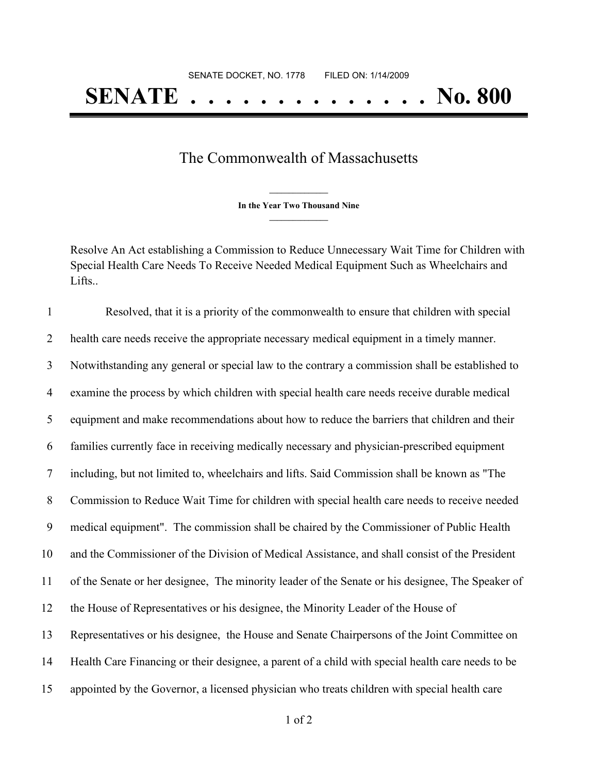## The Commonwealth of Massachusetts

**\_\_\_\_\_\_\_\_\_\_\_\_\_\_\_ In the Year Two Thousand Nine \_\_\_\_\_\_\_\_\_\_\_\_\_\_\_**

Resolve An Act establishing a Commission to Reduce Unnecessary Wait Time for Children with Special Health Care Needs To Receive Needed Medical Equipment Such as Wheelchairs and Lifts..

 Resolved, that it is a priority of the commonwealth to ensure that children with special health care needs receive the appropriate necessary medical equipment in a timely manner. Notwithstanding any general or special law to the contrary a commission shall be established to examine the process by which children with special health care needs receive durable medical equipment and make recommendations about how to reduce the barriers that children and their families currently face in receiving medically necessary and physician-prescribed equipment including, but not limited to, wheelchairs and lifts. Said Commission shall be known as "The Commission to Reduce Wait Time for children with special health care needs to receive needed medical equipment". The commission shall be chaired by the Commissioner of Public Health and the Commissioner of the Division of Medical Assistance, and shall consist of the President of the Senate or her designee, The minority leader of the Senate or his designee, The Speaker of the House of Representatives or his designee, the Minority Leader of the House of Representatives or his designee, the House and Senate Chairpersons of the Joint Committee on Health Care Financing or their designee, a parent of a child with special health care needs to be appointed by the Governor, a licensed physician who treats children with special health care